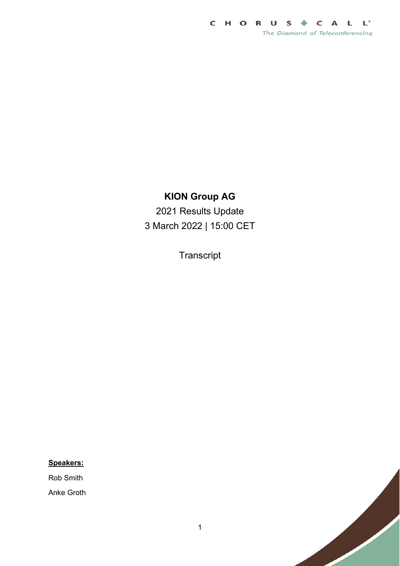

## **KION Group AG**

2021 Results Update 3 March 2022 | 15:00 CET

**Transcript** 

## **Speakers:**

Rob Smith

Anke Groth

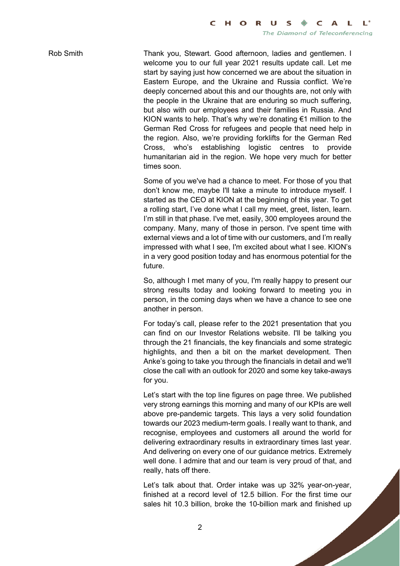Rob Smith Thank you, Stewart. Good afternoon, ladies and gentlemen. I welcome you to our full year 2021 results update call. Let me start by saying just how concerned we are about the situation in Eastern Europe, and the Ukraine and Russia conflict. We're deeply concerned about this and our thoughts are, not only with the people in the Ukraine that are enduring so much suffering, but also with our employees and their families in Russia. And KION wants to help. That's why we're donating  $\epsilon$ 1 million to the German Red Cross for refugees and people that need help in the region. Also, we're providing forklifts for the German Red Cross, who's establishing logistic centres to provide humanitarian aid in the region. We hope very much for better times soon.

> Some of you we've had a chance to meet. For those of you that don't know me, maybe I'll take a minute to introduce myself. I started as the CEO at KION at the beginning of this year. To get a rolling start, I've done what I call my meet, greet, listen, learn. I'm still in that phase. I've met, easily, 300 employees around the company. Many, many of those in person. I've spent time with external views and a lot of time with our customers, and I'm really impressed with what I see, I'm excited about what I see. KION's in a very good position today and has enormous potential for the future.

> So, although I met many of you, I'm really happy to present our strong results today and looking forward to meeting you in person, in the coming days when we have a chance to see one another in person.

> For today's call, please refer to the 2021 presentation that you can find on our Investor Relations website. I'll be talking you through the 21 financials, the key financials and some strategic highlights, and then a bit on the market development. Then Anke's going to take you through the financials in detail and we'll close the call with an outlook for 2020 and some key take-aways for you.

> Let's start with the top line figures on page three. We published very strong earnings this morning and many of our KPIs are well above pre-pandemic targets. This lays a very solid foundation towards our 2023 medium-term goals. I really want to thank, and recognise, employees and customers all around the world for delivering extraordinary results in extraordinary times last year. And delivering on every one of our guidance metrics. Extremely well done. I admire that and our team is very proud of that, and really, hats off there.

> Let's talk about that. Order intake was up 32% year-on-year, finished at a record level of 12.5 billion. For the first time our sales hit 10.3 billion, broke the 10-billion mark and finished up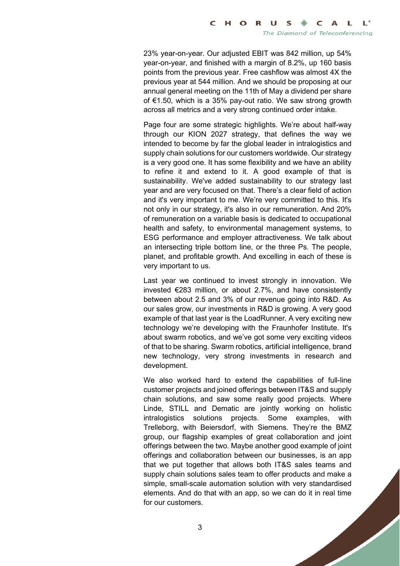23% year-on-year. Our adjusted EBIT was 842 million, up 54% year-on-year, and finished with a margin of 8.2%, up 160 basis points from the previous year. Free cashflow was almost 4X the previous year at 544 million. And we should be proposing at our annual general meeting on the 11th of May a dividend per share of €1.50, which is a 35% pay-out ratio. We saw strong growth across all metrics and a very strong continued order intake.

Page four are some strategic highlights. We're about half-way through our KION 2027 strategy, that defines the way we intended to become by far the global leader in intralogistics and supply chain solutions for our customers worldwide. Our strategy is a very good one. It has some flexibility and we have an ability to refine it and extend to it. A good example of that is sustainability. We've added sustainability to our strategy last year and are very focused on that. There's a clear field of action and it's very important to me. We're very committed to this. It's not only in our strategy, it's also in our remuneration. And 20% of remuneration on a variable basis is dedicated to occupational health and safety, to environmental management systems, to ESG performance and employer attractiveness. We talk about an intersecting triple bottom line, or the three Ps. The people, planet, and profitable growth. And excelling in each of these is very important to us.

Last year we continued to invest strongly in innovation. We invested €283 million, or about 2.7%, and have consistently between about 2.5 and 3% of our revenue going into R&D. As our sales grow, our investments in R&D is growing. A very good example of that last year is the LoadRunner. A very exciting new technology we're developing with the Fraunhofer Institute. It's about swarm robotics, and we've got some very exciting videos of that to be sharing. Swarm robotics, artificial intelligence, brand new technology, very strong investments in research and development.

We also worked hard to extend the capabilities of full-line customer projects and joined offerings between IT&S and supply chain solutions, and saw some really good projects. Where Linde, STILL and Dematic are jointly working on holistic intralogistics solutions projects. Some examples, with Trelleborg, with Beiersdorf, with Siemens. They're the BMZ group, our flagship examples of great collaboration and joint offerings between the two. Maybe another good example of joint offerings and collaboration between our businesses, is an app that we put together that allows both IT&S sales teams and supply chain solutions sales team to offer products and make a simple, small-scale automation solution with very standardised elements. And do that with an app, so we can do it in real time for our customers.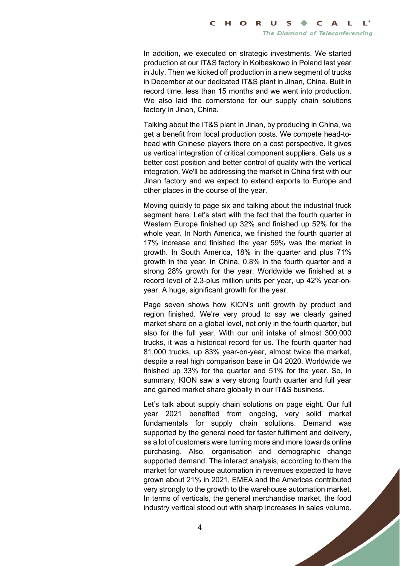In addition, we executed on strategic investments. We started production at our IT&S factory in Kołbaskowo in Poland last year in July. Then we kicked off production in a new segment of trucks in December at our dedicated IT&S plant in Jinan, China. Built in record time, less than 15 months and we went into production. We also laid the cornerstone for our supply chain solutions factory in Jinan, China.

Talking about the IT&S plant in Jinan, by producing in China, we get a benefit from local production costs. We compete head-tohead with Chinese players there on a cost perspective. It gives us vertical integration of critical component suppliers. Gets us a better cost position and better control of quality with the vertical integration. We'll be addressing the market in China first with our Jinan factory and we expect to extend exports to Europe and other places in the course of the year.

Moving quickly to page six and talking about the industrial truck segment here. Let's start with the fact that the fourth quarter in Western Europe finished up 32% and finished up 52% for the whole year. In North America, we finished the fourth quarter at 17% increase and finished the year 59% was the market in growth. In South America, 18% in the quarter and plus 71% growth in the year. In China, 0.8% in the fourth quarter and a strong 28% growth for the year. Worldwide we finished at a record level of 2.3-plus million units per year, up 42% year-onyear. A huge, significant growth for the year.

Page seven shows how KION's unit growth by product and region finished. We're very proud to say we clearly gained market share on a global level, not only in the fourth quarter, but also for the full year. With our unit intake of almost 300,000 trucks, it was a historical record for us. The fourth quarter had 81,000 trucks, up 83% year-on-year, almost twice the market, despite a real high comparison base in Q4 2020. Worldwide we finished up 33% for the quarter and 51% for the year. So, in summary, KION saw a very strong fourth quarter and full year and gained market share globally in our IT&S business.

Let's talk about supply chain solutions on page eight. Our full year 2021 benefited from ongoing, very solid market fundamentals for supply chain solutions. Demand was supported by the general need for faster fulfilment and delivery, as a lot of customers were turning more and more towards online purchasing. Also, organisation and demographic change supported demand. The interact analysis, according to them the market for warehouse automation in revenues expected to have grown about 21% in 2021. EMEA and the Americas contributed very strongly to the growth to the warehouse automation market. In terms of verticals, the general merchandise market, the food industry vertical stood out with sharp increases in sales volume.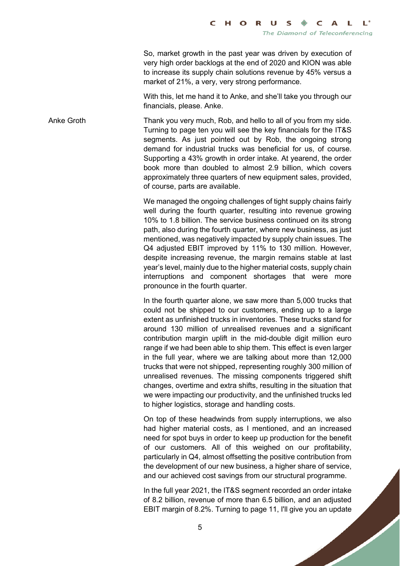So, market growth in the past year was driven by execution of very high order backlogs at the end of 2020 and KION was able to increase its supply chain solutions revenue by 45% versus a market of 21%, a very, very strong performance.

With this, let me hand it to Anke, and she'll take you through our financials, please. Anke.

Anke Groth Thank you very much, Rob, and hello to all of you from my side. Turning to page ten you will see the key financials for the IT&S segments. As just pointed out by Rob, the ongoing strong demand for industrial trucks was beneficial for us, of course. Supporting a 43% growth in order intake. At yearend, the order book more than doubled to almost 2.9 billion, which covers approximately three quarters of new equipment sales, provided, of course, parts are available.

> We managed the ongoing challenges of tight supply chains fairly well during the fourth quarter, resulting into revenue growing 10% to 1.8 billion. The service business continued on its strong path, also during the fourth quarter, where new business, as just mentioned, was negatively impacted by supply chain issues. The Q4 adjusted EBIT improved by 11% to 130 million. However, despite increasing revenue, the margin remains stable at last year's level, mainly due to the higher material costs, supply chain interruptions and component shortages that were more pronounce in the fourth quarter.

> In the fourth quarter alone, we saw more than 5,000 trucks that could not be shipped to our customers, ending up to a large extent as unfinished trucks in inventories. These trucks stand for around 130 million of unrealised revenues and a significant contribution margin uplift in the mid-double digit million euro range if we had been able to ship them. This effect is even larger in the full year, where we are talking about more than 12,000 trucks that were not shipped, representing roughly 300 million of unrealised revenues. The missing components triggered shift changes, overtime and extra shifts, resulting in the situation that we were impacting our productivity, and the unfinished trucks led to higher logistics, storage and handling costs.

> On top of these headwinds from supply interruptions, we also had higher material costs, as I mentioned, and an increased need for spot buys in order to keep up production for the benefit of our customers. All of this weighed on our profitability, particularly in Q4, almost offsetting the positive contribution from the development of our new business, a higher share of service, and our achieved cost savings from our structural programme.

> In the full year 2021, the IT&S segment recorded an order intake of 8.2 billion, revenue of more than 6.5 billion, and an adjusted EBIT margin of 8.2%. Turning to page 11, I'll give you an update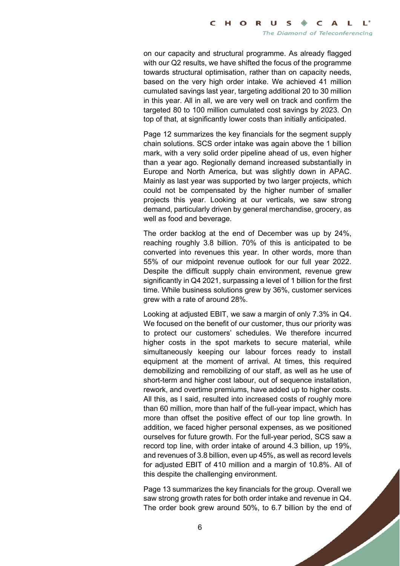on our capacity and structural programme. As already flagged with our Q2 results, we have shifted the focus of the programme towards structural optimisation, rather than on capacity needs, based on the very high order intake. We achieved 41 million cumulated savings last year, targeting additional 20 to 30 million in this year. All in all, we are very well on track and confirm the targeted 80 to 100 million cumulated cost savings by 2023. On top of that, at significantly lower costs than initially anticipated.

Page 12 summarizes the key financials for the segment supply chain solutions. SCS order intake was again above the 1 billion mark, with a very solid order pipeline ahead of us, even higher than a year ago. Regionally demand increased substantially in Europe and North America, but was slightly down in APAC. Mainly as last year was supported by two larger projects, which could not be compensated by the higher number of smaller projects this year. Looking at our verticals, we saw strong demand, particularly driven by general merchandise, grocery, as well as food and beverage.

The order backlog at the end of December was up by 24%, reaching roughly 3.8 billion. 70% of this is anticipated to be converted into revenues this year. In other words, more than 55% of our midpoint revenue outlook for our full year 2022. Despite the difficult supply chain environment, revenue grew significantly in Q4 2021, surpassing a level of 1 billion for the first time. While business solutions grew by 36%, customer services grew with a rate of around 28%.

Looking at adjusted EBIT, we saw a margin of only 7.3% in Q4. We focused on the benefit of our customer, thus our priority was to protect our customers' schedules. We therefore incurred higher costs in the spot markets to secure material, while simultaneously keeping our labour forces ready to install equipment at the moment of arrival. At times, this required demobilizing and remobilizing of our staff, as well as he use of short-term and higher cost labour, out of sequence installation, rework, and overtime premiums, have added up to higher costs. All this, as I said, resulted into increased costs of roughly more than 60 million, more than half of the full-year impact, which has more than offset the positive effect of our top line growth. In addition, we faced higher personal expenses, as we positioned ourselves for future growth. For the full-year period, SCS saw a record top line, with order intake of around 4.3 billion, up 19%, and revenues of 3.8 billion, even up 45%, as well as record levels for adjusted EBIT of 410 million and a margin of 10.8%. All of this despite the challenging environment.

Page 13 summarizes the key financials for the group. Overall we saw strong growth rates for both order intake and revenue in Q4. The order book grew around 50%, to 6.7 billion by the end of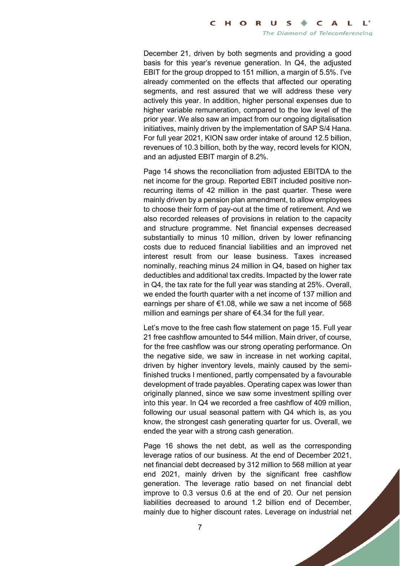December 21, driven by both segments and providing a good basis for this year's revenue generation. In Q4, the adjusted EBIT for the group dropped to 151 million, a margin of 5.5%. I've already commented on the effects that affected our operating segments, and rest assured that we will address these very actively this year. In addition, higher personal expenses due to higher variable remuneration, compared to the low level of the prior year. We also saw an impact from our ongoing digitalisation initiatives, mainly driven by the implementation of SAP S/4 Hana. For full year 2021, KION saw order intake of around 12.5 billion, revenues of 10.3 billion, both by the way, record levels for KION, and an adjusted EBIT margin of 8.2%.

Page 14 shows the reconciliation from adjusted EBITDA to the net income for the group. Reported EBIT included positive nonrecurring items of 42 million in the past quarter. These were mainly driven by a pension plan amendment, to allow employees to choose their form of pay-out at the time of retirement. And we also recorded releases of provisions in relation to the capacity and structure programme. Net financial expenses decreased substantially to minus 10 million, driven by lower refinancing costs due to reduced financial liabilities and an improved net interest result from our lease business. Taxes increased nominally, reaching minus 24 million in Q4, based on higher tax deductibles and additional tax credits. Impacted by the lower rate in Q4, the tax rate for the full year was standing at 25%. Overall, we ended the fourth quarter with a net income of 137 million and earnings per share of  $\epsilon$ 1.08, while we saw a net income of 568 million and earnings per share of €4.34 for the full year.

Let's move to the free cash flow statement on page 15. Full year 21 free cashflow amounted to 544 million. Main driver, of course, for the free cashflow was our strong operating performance. On the negative side, we saw in increase in net working capital, driven by higher inventory levels, mainly caused by the semifinished trucks I mentioned, partly compensated by a favourable development of trade payables. Operating capex was lower than originally planned, since we saw some investment spilling over into this year. In Q4 we recorded a free cashflow of 409 million, following our usual seasonal pattern with Q4 which is, as you know, the strongest cash generating quarter for us. Overall, we ended the year with a strong cash generation.

Page 16 shows the net debt, as well as the corresponding leverage ratios of our business. At the end of December 2021, net financial debt decreased by 312 million to 568 million at year end 2021, mainly driven by the significant free cashflow generation. The leverage ratio based on net financial debt improve to 0.3 versus 0.6 at the end of 20. Our net pension liabilities decreased to around 1.2 billion end of December, mainly due to higher discount rates. Leverage on industrial net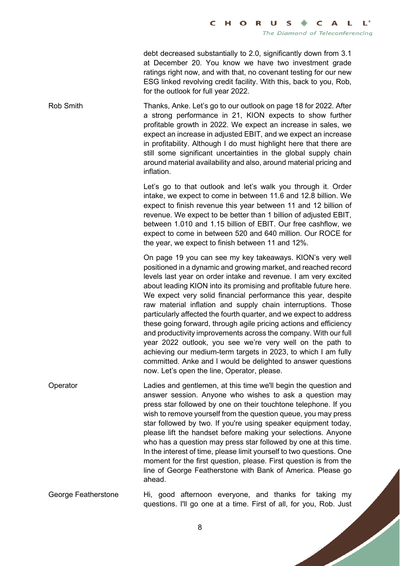debt decreased substantially to 2.0, significantly down from 3.1 at December 20. You know we have two investment grade ratings right now, and with that, no covenant testing for our new ESG linked revolving credit facility. With this, back to you, Rob, for the outlook for full year 2022.

Rob Smith Thanks, Anke. Let's go to our outlook on page 18 for 2022. After a strong performance in 21, KION expects to show further profitable growth in 2022. We expect an increase in sales, we expect an increase in adjusted EBIT, and we expect an increase in profitability. Although I do must highlight here that there are still some significant uncertainties in the global supply chain around material availability and also, around material pricing and inflation.

> Let's go to that outlook and let's walk you through it. Order intake, we expect to come in between 11.6 and 12.8 billion. We expect to finish revenue this year between 11 and 12 billion of revenue. We expect to be better than 1 billion of adjusted EBIT, between 1.010 and 1.15 billion of EBIT. Our free cashflow, we expect to come in between 520 and 640 million. Our ROCE for the year, we expect to finish between 11 and 12%.

> On page 19 you can see my key takeaways. KION's very well positioned in a dynamic and growing market, and reached record levels last year on order intake and revenue. I am very excited about leading KION into its promising and profitable future here. We expect very solid financial performance this year, despite raw material inflation and supply chain interruptions. Those particularly affected the fourth quarter, and we expect to address these going forward, through agile pricing actions and efficiency and productivity improvements across the company. With our full year 2022 outlook, you see we're very well on the path to achieving our medium-term targets in 2023, to which I am fully committed. Anke and I would be delighted to answer questions now. Let's open the line, Operator, please.

Operator Ladies and gentlemen, at this time we'll begin the question and answer session. Anyone who wishes to ask a question may press star followed by one on their touchtone telephone. If you wish to remove yourself from the question queue, you may press star followed by two. If you're using speaker equipment today, please lift the handset before making your selections. Anyone who has a question may press star followed by one at this time. In the interest of time, please limit yourself to two questions. One moment for the first question, please. First question is from the line of George Featherstone with Bank of America. Please go ahead.

George Featherstone Hi, good afternoon everyone, and thanks for taking my questions. I'll go one at a time. First of all, for you, Rob. Just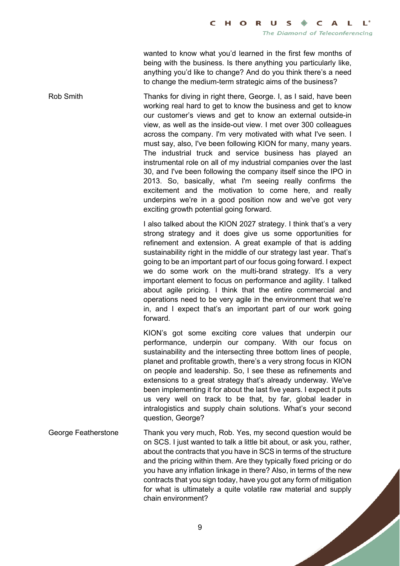wanted to know what you'd learned in the first few months of being with the business. Is there anything you particularly like, anything you'd like to change? And do you think there's a need to change the medium-term strategic aims of the business?

Rob Smith Thanks for diving in right there, George. I, as I said, have been working real hard to get to know the business and get to know our customer's views and get to know an external outside-in view, as well as the inside-out view. I met over 300 colleagues across the company. I'm very motivated with what I've seen. I must say, also, I've been following KION for many, many years. The industrial truck and service business has played an instrumental role on all of my industrial companies over the last 30, and I've been following the company itself since the IPO in 2013. So, basically, what I'm seeing really confirms the excitement and the motivation to come here, and really underpins we're in a good position now and we've got very exciting growth potential going forward.

> I also talked about the KION 2027 strategy. I think that's a very strong strategy and it does give us some opportunities for refinement and extension. A great example of that is adding sustainability right in the middle of our strategy last year. That's going to be an important part of our focus going forward. I expect we do some work on the multi-brand strategy. It's a very important element to focus on performance and agility. I talked about agile pricing. I think that the entire commercial and operations need to be very agile in the environment that we're in, and I expect that's an important part of our work going forward.

> KION's got some exciting core values that underpin our performance, underpin our company. With our focus on sustainability and the intersecting three bottom lines of people, planet and profitable growth, there's a very strong focus in KION on people and leadership. So, I see these as refinements and extensions to a great strategy that's already underway. We've been implementing it for about the last five years. I expect it puts us very well on track to be that, by far, global leader in intralogistics and supply chain solutions. What's your second question, George?

George Featherstone Thank you very much, Rob. Yes, my second question would be on SCS. I just wanted to talk a little bit about, or ask you, rather, about the contracts that you have in SCS in terms of the structure and the pricing within them. Are they typically fixed pricing or do you have any inflation linkage in there? Also, in terms of the new contracts that you sign today, have you got any form of mitigation for what is ultimately a quite volatile raw material and supply chain environment?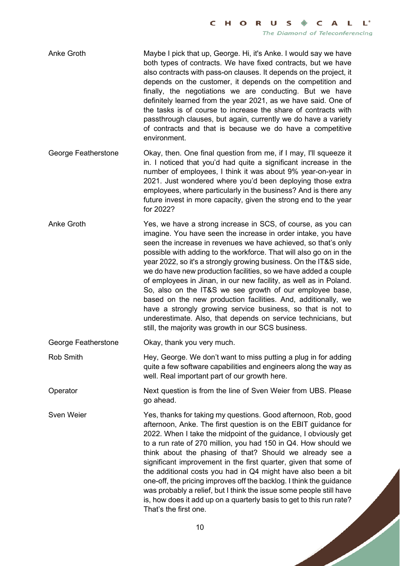- Anke Groth Maybe I pick that up, George. Hi, it's Anke. I would say we have both types of contracts. We have fixed contracts, but we have also contracts with pass-on clauses. It depends on the project, it depends on the customer, it depends on the competition and finally, the negotiations we are conducting. But we have definitely learned from the year 2021, as we have said. One of the tasks is of course to increase the share of contracts with passthrough clauses, but again, currently we do have a variety of contracts and that is because we do have a competitive environment.
- George Featherstone Okay, then. One final question from me, if I may, I'll squeeze it in. I noticed that you'd had quite a significant increase in the number of employees, I think it was about 9% year-on-year in 2021. Just wondered where you'd been deploying those extra employees, where particularly in the business? And is there any future invest in more capacity, given the strong end to the year for 2022?
- Anke Groth Yes, we have a strong increase in SCS, of course, as you can imagine. You have seen the increase in order intake, you have seen the increase in revenues we have achieved, so that's only possible with adding to the workforce. That will also go on in the year 2022, so it's a strongly growing business. On the IT&S side, we do have new production facilities, so we have added a couple of employees in Jinan, in our new facility, as well as in Poland. So, also on the IT&S we see growth of our employee base, based on the new production facilities. And, additionally, we have a strongly growing service business, so that is not to underestimate. Also, that depends on service technicians, but still, the majority was growth in our SCS business.
- George Featherstone Okay, thank you very much.
- Rob Smith **Hey, George.** We don't want to miss putting a plug in for adding quite a few software capabilities and engineers along the way as well. Real important part of our growth here.

Operator **Next question is from the line of Sven Weier from UBS. Please** go ahead.

Sven Weier Yes, thanks for taking my questions. Good afternoon, Rob, good afternoon, Anke. The first question is on the EBIT guidance for 2022. When I take the midpoint of the guidance, I obviously get to a run rate of 270 million, you had 150 in Q4. How should we think about the phasing of that? Should we already see a significant improvement in the first quarter, given that some of the additional costs you had in Q4 might have also been a bit one-off, the pricing improves off the backlog. I think the guidance was probably a relief, but I think the issue some people still have is, how does it add up on a quarterly basis to get to this run rate? That's the first one.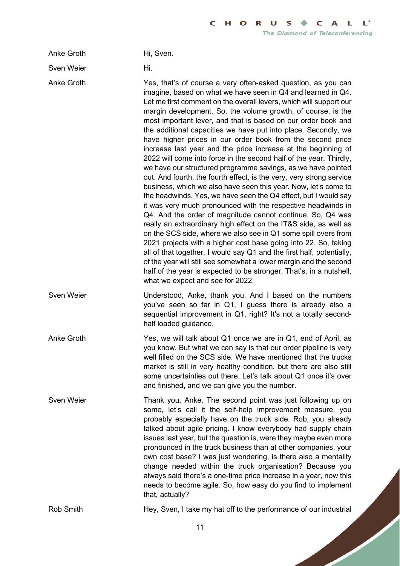Anke Groth Hi, Sven.

Sven Weier **Hi.** 

Anke Groth Yes, that's of course a very often-asked question, as you can imagine, based on what we have seen in Q4 and learned in Q4. Let me first comment on the overall levers, which will support our margin development. So, the volume growth, of course, is the most important lever, and that is based on our order book and the additional capacities we have put into place. Secondly, we have higher prices in our order book from the second price increase last year and the price increase at the beginning of 2022 will come into force in the second half of the year. Thirdly, we have our structured programme savings, as we have pointed out. And fourth, the fourth effect, is the very, very strong service business, which we also have seen this year. Now, let's come to the headwinds. Yes, we have seen the Q4 effect, but I would say it was very much pronounced with the respective headwinds in Q4. And the order of magnitude cannot continue. So, Q4 was really an extraordinary high effect on the IT&S side, as well as on the SCS side, where we also see in Q1 some spill overs from 2021 projects with a higher cost base going into 22. So, taking all of that together, I would say Q1 and the first half, potentially, of the year will still see somewhat a lower margin and the second half of the year is expected to be stronger. That's, in a nutshell, what we expect and see for 2022.

Sven Weier **Understood, Anke, thank you. And I based on the numbers** you've seen so far in Q1, I guess there is already also a sequential improvement in Q1, right? It's not a totally secondhalf loaded guidance.

Anke Groth Yes, we will talk about Q1 once we are in Q1, end of April, as you know. But what we can say is that our order pipeline is very well filled on the SCS side. We have mentioned that the trucks market is still in very healthy condition, but there are also still some uncertainties out there. Let's talk about Q1 once it's over and finished, and we can give you the number.

Sven Weier Thank you, Anke. The second point was just following up on some, let's call it the self-help improvement measure, you probably especially have on the truck side. Rob, you already talked about agile pricing. I know everybody had supply chain issues last year, but the question is, were they maybe even more pronounced in the truck business than at other companies, your own cost base? I was just wondering, is there also a mentality change needed within the truck organisation? Because you always said there's a one-time price increase in a year, now this needs to become agile. So, how easy do you find to implement that, actually?

Rob Smith **Hey, Sven, I take my hat off to the performance of our industrial**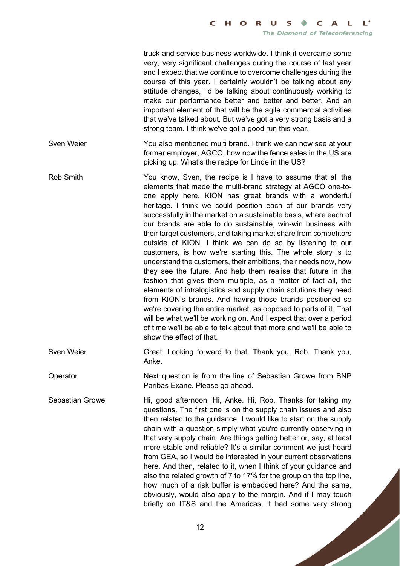truck and service business worldwide. I think it overcame some very, very significant challenges during the course of last year and I expect that we continue to overcome challenges during the course of this year. I certainly wouldn't be talking about any attitude changes, I'd be talking about continuously working to make our performance better and better and better. And an important element of that will be the agile commercial activities that we've talked about. But we've got a very strong basis and a strong team. I think we've got a good run this year.

Sven Weier **You also mentioned multi brand.** I think we can now see at your former employer, AGCO, how now the fence sales in the US are picking up. What's the recipe for Linde in the US?

Rob Smith You know, Sven, the recipe is I have to assume that all the elements that made the multi-brand strategy at AGCO one-toone apply here. KION has great brands with a wonderful heritage. I think we could position each of our brands very successfully in the market on a sustainable basis, where each of our brands are able to do sustainable, win-win business with their target customers, and taking market share from competitors outside of KION. I think we can do so by listening to our customers, is how we're starting this. The whole story is to understand the customers, their ambitions, their needs now, how they see the future. And help them realise that future in the fashion that gives them multiple, as a matter of fact all, the elements of intralogistics and supply chain solutions they need from KION's brands. And having those brands positioned so we're covering the entire market, as opposed to parts of it. That will be what we'll be working on. And I expect that over a period of time we'll be able to talk about that more and we'll be able to show the effect of that.

Sven Weier Great. Looking forward to that. Thank you, Rob. Thank you, Anke.

Operator Next question is from the line of Sebastian Growe from BNP Paribas Exane. Please go ahead.

Sebastian Growe Hi, good afternoon. Hi, Anke. Hi, Rob. Thanks for taking my questions. The first one is on the supply chain issues and also then related to the guidance. I would like to start on the supply chain with a question simply what you're currently observing in that very supply chain. Are things getting better or, say, at least more stable and reliable? It's a similar comment we just heard from GEA, so I would be interested in your current observations here. And then, related to it, when I think of your guidance and also the related growth of 7 to 17% for the group on the top line, how much of a risk buffer is embedded here? And the same, obviously, would also apply to the margin. And if I may touch briefly on IT&S and the Americas, it had some very strong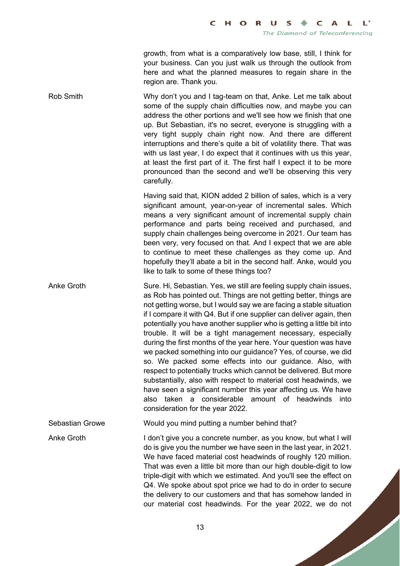growth, from what is a comparatively low base, still, I think for your business. Can you just walk us through the outlook from here and what the planned measures to regain share in the region are. Thank you.

Rob Smith Why don't you and I tag-team on that, Anke. Let me talk about some of the supply chain difficulties now, and maybe you can address the other portions and we'll see how we finish that one up. But Sebastian, it's no secret, everyone is struggling with a very tight supply chain right now. And there are different interruptions and there's quite a bit of volatility there. That was with us last year, I do expect that it continues with us this year, at least the first part of it. The first half I expect it to be more pronounced than the second and we'll be observing this very carefully.

> Having said that, KION added 2 billion of sales, which is a very significant amount, year-on-year of incremental sales. Which means a very significant amount of incremental supply chain performance and parts being received and purchased, and supply chain challenges being overcome in 2021. Our team has been very, very focused on that. And I expect that we are able to continue to meet these challenges as they come up. And hopefully they'll abate a bit in the second half. Anke, would you like to talk to some of these things too?

Anke Groth Sure. Hi, Sebastian. Yes, we still are feeling supply chain issues, as Rob has pointed out. Things are not getting better, things are not getting worse, but I would say we are facing a stable situation if I compare it with Q4. But if one supplier can deliver again, then potentially you have another supplier who is getting a little bit into trouble. It will be a tight management necessary, especially during the first months of the year here. Your question was have we packed something into our guidance? Yes, of course, we did so. We packed some effects into our guidance. Also, with respect to potentially trucks which cannot be delivered. But more substantially, also with respect to material cost headwinds, we have seen a significant number this year affecting us. We have also taken a considerable amount of headwinds into consideration for the year 2022.

Sebastian Growe Would you mind putting a number behind that?

Anke Groth I don't give you a concrete number, as you know, but what I will do is give you the number we have seen in the last year, in 2021. We have faced material cost headwinds of roughly 120 million. That was even a little bit more than our high double-digit to low triple-digit with which we estimated. And you'll see the effect on Q4. We spoke about spot price we had to do in order to secure the delivery to our customers and that has somehow landed in our material cost headwinds. For the year 2022, we do not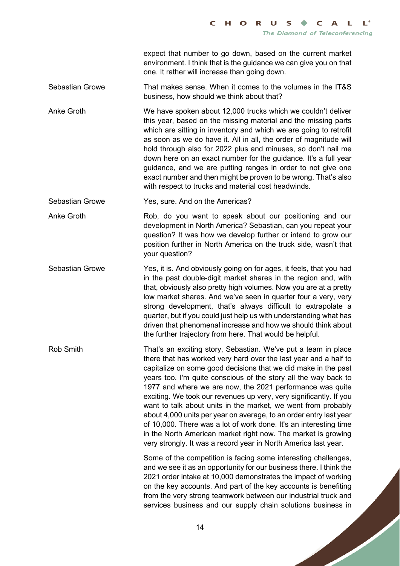expect that number to go down, based on the current market environment. I think that is the guidance we can give you on that one. It rather will increase than going down.

Sebastian Growe That makes sense. When it comes to the volumes in the IT&S business, how should we think about that?

Anke Groth We have spoken about 12,000 trucks which we couldn't deliver this year, based on the missing material and the missing parts which are sitting in inventory and which we are going to retrofit as soon as we do have it. All in all, the order of magnitude will hold through also for 2022 plus and minuses, so don't nail me down here on an exact number for the guidance. It's a full year guidance, and we are putting ranges in order to not give one exact number and then might be proven to be wrong. That's also with respect to trucks and material cost headwinds.

Sebastian Growe Yes, sure. And on the Americas?

Anke Groth Rob, do you want to speak about our positioning and our development in North America? Sebastian, can you repeat your question? It was how we develop further or intend to grow our position further in North America on the truck side, wasn't that your question?

Sebastian Growe Yes, it is. And obviously going on for ages, it feels, that you had in the past double-digit market shares in the region and, with that, obviously also pretty high volumes. Now you are at a pretty low market shares. And we've seen in quarter four a very, very strong development, that's always difficult to extrapolate a quarter, but if you could just help us with understanding what has driven that phenomenal increase and how we should think about the further trajectory from here. That would be helpful.

Rob Smith That's an exciting story, Sebastian. We've put a team in place there that has worked very hard over the last year and a half to capitalize on some good decisions that we did make in the past years too. I'm quite conscious of the story all the way back to 1977 and where we are now, the 2021 performance was quite exciting. We took our revenues up very, very significantly. If you want to talk about units in the market, we went from probably about 4,000 units per year on average, to an order entry last year of 10,000. There was a lot of work done. It's an interesting time in the North American market right now. The market is growing very strongly. It was a record year in North America last year.

> Some of the competition is facing some interesting challenges, and we see it as an opportunity for our business there. I think the 2021 order intake at 10,000 demonstrates the impact of working on the key accounts. And part of the key accounts is benefiting from the very strong teamwork between our industrial truck and services business and our supply chain solutions business in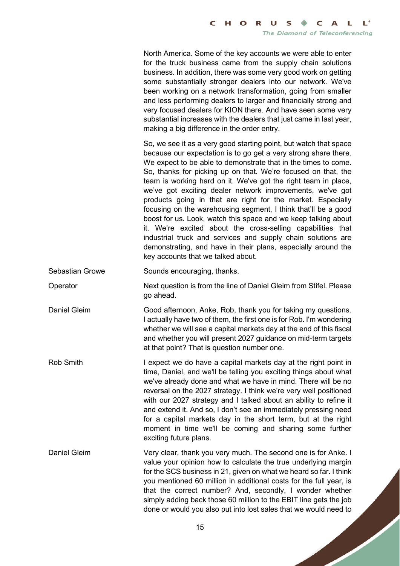North America. Some of the key accounts we were able to enter for the truck business came from the supply chain solutions business. In addition, there was some very good work on getting some substantially stronger dealers into our network. We've been working on a network transformation, going from smaller and less performing dealers to larger and financially strong and very focused dealers for KION there. And have seen some very substantial increases with the dealers that just came in last year, making a big difference in the order entry.

So, we see it as a very good starting point, but watch that space because our expectation is to go get a very strong share there. We expect to be able to demonstrate that in the times to come. So, thanks for picking up on that. We're focused on that, the team is working hard on it. We've got the right team in place, we've got exciting dealer network improvements, we've got products going in that are right for the market. Especially focusing on the warehousing segment, I think that'll be a good boost for us. Look, watch this space and we keep talking about it. We're excited about the cross-selling capabilities that industrial truck and services and supply chain solutions are demonstrating, and have in their plans, especially around the key accounts that we talked about.

Sebastian Growe Sounds encouraging, thanks.

Operator Next question is from the line of Daniel Gleim from Stifel. Please go ahead.

Daniel Gleim Good afternoon, Anke, Rob, thank you for taking my questions. I actually have two of them, the first one is for Rob. I'm wondering whether we will see a capital markets day at the end of this fiscal and whether you will present 2027 guidance on mid-term targets at that point? That is question number one.

Rob Smith I expect we do have a capital markets day at the right point in time, Daniel, and we'll be telling you exciting things about what we've already done and what we have in mind. There will be no reversal on the 2027 strategy. I think we're very well positioned with our 2027 strategy and I talked about an ability to refine it and extend it. And so, I don't see an immediately pressing need for a capital markets day in the short term, but at the right moment in time we'll be coming and sharing some further exciting future plans.

Daniel Gleim Very clear, thank you very much. The second one is for Anke. I value your opinion how to calculate the true underlying margin for the SCS business in 21, given on what we heard so far. I think you mentioned 60 million in additional costs for the full year, is that the correct number? And, secondly, I wonder whether simply adding back those 60 million to the EBIT line gets the job done or would you also put into lost sales that we would need to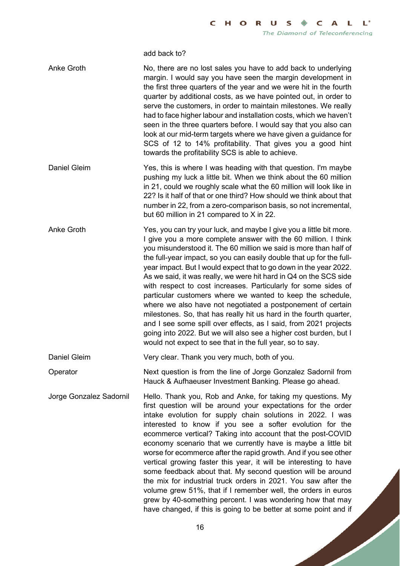add back to?

| <b>Anke Groth</b>       | No, there are no lost sales you have to add back to underlying<br>margin. I would say you have seen the margin development in<br>the first three quarters of the year and we were hit in the fourth<br>quarter by additional costs, as we have pointed out, in order to<br>serve the customers, in order to maintain milestones. We really<br>had to face higher labour and installation costs, which we haven't<br>seen in the three quarters before. I would say that you also can<br>look at our mid-term targets where we have given a guidance for<br>SCS of 12 to 14% profitability. That gives you a good hint<br>towards the profitability SCS is able to achieve.                                                                                                                                                                                                                              |
|-------------------------|---------------------------------------------------------------------------------------------------------------------------------------------------------------------------------------------------------------------------------------------------------------------------------------------------------------------------------------------------------------------------------------------------------------------------------------------------------------------------------------------------------------------------------------------------------------------------------------------------------------------------------------------------------------------------------------------------------------------------------------------------------------------------------------------------------------------------------------------------------------------------------------------------------|
| Daniel Gleim            | Yes, this is where I was heading with that question. I'm maybe<br>pushing my luck a little bit. When we think about the 60 million<br>in 21, could we roughly scale what the 60 million will look like in<br>22? Is it half of that or one third? How should we think about that<br>number in 22, from a zero-comparison basis, so not incremental,<br>but 60 million in 21 compared to X in 22.                                                                                                                                                                                                                                                                                                                                                                                                                                                                                                        |
| <b>Anke Groth</b>       | Yes, you can try your luck, and maybe I give you a little bit more.<br>I give you a more complete answer with the 60 million. I think<br>you misunderstood it. The 60 million we said is more than half of<br>the full-year impact, so you can easily double that up for the full-<br>year impact. But I would expect that to go down in the year 2022.<br>As we said, it was really, we were hit hard in Q4 on the SCS side<br>with respect to cost increases. Particularly for some sides of<br>particular customers where we wanted to keep the schedule,<br>where we also have not negotiated a postponement of certain<br>milestones. So, that has really hit us hard in the fourth quarter,<br>and I see some spill over effects, as I said, from 2021 projects<br>going into 2022. But we will also see a higher cost burden, but I<br>would not expect to see that in the full year, so to say. |
| <b>Daniel Gleim</b>     | Very clear. Thank you very much, both of you.                                                                                                                                                                                                                                                                                                                                                                                                                                                                                                                                                                                                                                                                                                                                                                                                                                                           |
| Operator                | Next question is from the line of Jorge Gonzalez Sadornil from<br>Hauck & Aufhaeuser Investment Banking. Please go ahead.                                                                                                                                                                                                                                                                                                                                                                                                                                                                                                                                                                                                                                                                                                                                                                               |
| Jorge Gonzalez Sadornil | Hello. Thank you, Rob and Anke, for taking my questions. My<br>first question will be around your expectations for the order<br>intake evolution for supply chain solutions in 2022. I was<br>interested to know if you see a softer evolution for the<br>ecommerce vertical? Taking into account that the post-COVID<br>economy scenario that we currently have is maybe a little bit<br>worse for ecommerce after the rapid growth. And if you see other<br>vertical growing faster this year, it will be interesting to have<br>some feedback about that. My second question will be around<br>the mix for industrial truck orders in 2021. You saw after the<br>volume grew 51%, that if I remember well, the orders in euros<br>grew by 40-something percent. I was wondering how that may<br>have changed, if this is going to be better at some point and if                                     |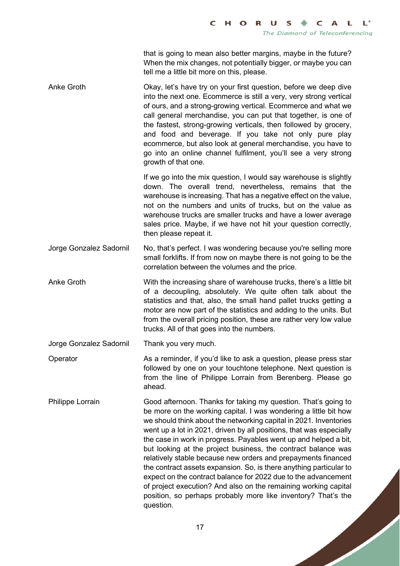that is going to mean also better margins, maybe in the future? When the mix changes, not potentially bigger, or maybe you can tell me a little bit more on this, please.

Anke Groth **Okay, let's have try on your first question**, before we deep dive into the next one. Ecommerce is still a very, very strong vertical of ours, and a strong-growing vertical. Ecommerce and what we call general merchandise, you can put that together, is one of the fastest, strong-growing verticals, then followed by grocery, and food and beverage. If you take not only pure play ecommerce, but also look at general merchandise, you have to go into an online channel fulfilment, you'll see a very strong growth of that one.

> If we go into the mix question, I would say warehouse is slightly down. The overall trend, nevertheless, remains that the warehouse is increasing. That has a negative effect on the value, not on the numbers and units of trucks, but on the value as warehouse trucks are smaller trucks and have a lower average sales price. Maybe, if we have not hit your question correctly, then please repeat it.

Jorge Gonzalez Sadornil No, that's perfect. I was wondering because you're selling more small forklifts. If from now on maybe there is not going to be the correlation between the volumes and the price.

Anke Groth With the increasing share of warehouse trucks, there's a little bit of a decoupling, absolutely. We quite often talk about the statistics and that, also, the small hand pallet trucks getting a motor are now part of the statistics and adding to the units. But from the overall pricing position, these are rather very low value trucks. All of that goes into the numbers.

Jorge Gonzalez Sadornil Thank you very much.

- Operator As a reminder, if you'd like to ask a question, please press star followed by one on your touchtone telephone. Next question is from the line of Philippe Lorrain from Berenberg. Please go ahead.
- Philippe Lorrain Good afternoon. Thanks for taking my question. That's going to be more on the working capital. I was wondering a little bit how we should think about the networking capital in 2021. Inventories went up a lot in 2021, driven by all positions, that was especially the case in work in progress. Payables went up and helped a bit, but looking at the project business, the contract balance was relatively stable because new orders and prepayments financed the contract assets expansion. So, is there anything particular to expect on the contract balance for 2022 due to the advancement of project execution? And also on the remaining working capital position, so perhaps probably more like inventory? That's the question.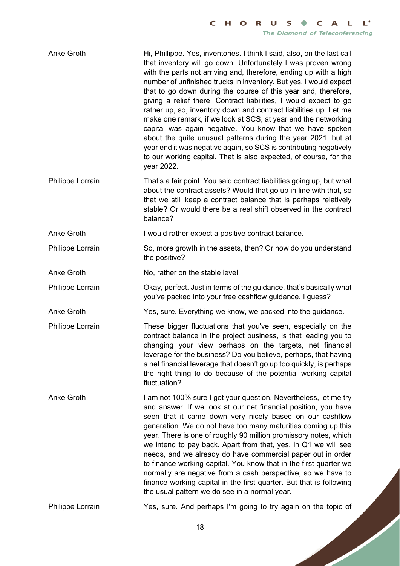Anke Groth Hi, Phillippe. Yes, inventories. I think I said, also, on the last call that inventory will go down. Unfortunately I was proven wrong with the parts not arriving and, therefore, ending up with a high number of unfinished trucks in inventory. But yes, I would expect that to go down during the course of this year and, therefore, giving a relief there. Contract liabilities, I would expect to go rather up, so, inventory down and contract liabilities up. Let me make one remark, if we look at SCS, at year end the networking capital was again negative. You know that we have spoken about the quite unusual patterns during the year 2021, but at year end it was negative again, so SCS is contributing negatively to our working capital. That is also expected, of course, for the year 2022. Philippe Lorrain That's a fair point. You said contract liabilities going up, but what

about the contract assets? Would that go up in line with that, so that we still keep a contract balance that is perhaps relatively stable? Or would there be a real shift observed in the contract balance?

Anke Groth I would rather expect a positive contract balance.

Philippe Lorrain So, more growth in the assets, then? Or how do you understand the positive?

Anke Groth No, rather on the stable level.

Philippe Lorrain Okay, perfect. Just in terms of the guidance, that's basically what you've packed into your free cashflow guidance, I guess?

Anke Groth Yes, sure. Everything we know, we packed into the guidance.

- Philippe Lorrain These bigger fluctuations that you've seen, especially on the contract balance in the project business, is that leading you to changing your view perhaps on the targets, net financial leverage for the business? Do you believe, perhaps, that having a net financial leverage that doesn't go up too quickly, is perhaps the right thing to do because of the potential working capital fluctuation?
- Anke Groth I am not 100% sure I got your question. Nevertheless, let me try and answer. If we look at our net financial position, you have seen that it came down very nicely based on our cashflow generation. We do not have too many maturities coming up this year. There is one of roughly 90 million promissory notes, which we intend to pay back. Apart from that, yes, in Q1 we will see needs, and we already do have commercial paper out in order to finance working capital. You know that in the first quarter we normally are negative from a cash perspective, so we have to finance working capital in the first quarter. But that is following the usual pattern we do see in a normal year.

Philippe Lorrain Yes, sure. And perhaps I'm going to try again on the topic of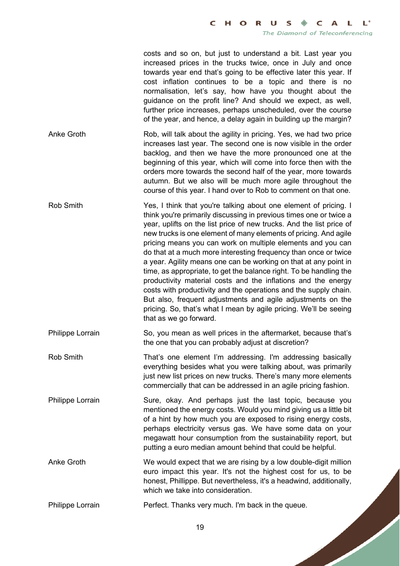costs and so on, but just to understand a bit. Last year you increased prices in the trucks twice, once in July and once towards year end that's going to be effective later this year. If cost inflation continues to be a topic and there is no normalisation, let's say, how have you thought about the guidance on the profit line? And should we expect, as well, further price increases, perhaps unscheduled, over the course of the year, and hence, a delay again in building up the margin?

Anke Groth Rob, will talk about the agility in pricing. Yes, we had two price increases last year. The second one is now visible in the order backlog, and then we have the more pronounced one at the beginning of this year, which will come into force then with the orders more towards the second half of the year, more towards autumn. But we also will be much more agile throughout the course of this year. I hand over to Rob to comment on that one.

Rob Smith Yes, I think that you're talking about one element of pricing. I think you're primarily discussing in previous times one or twice a year, uplifts on the list price of new trucks. And the list price of new trucks is one element of many elements of pricing. And agile pricing means you can work on multiple elements and you can do that at a much more interesting frequency than once or twice a year. Agility means one can be working on that at any point in time, as appropriate, to get the balance right. To be handling the productivity material costs and the inflations and the energy costs with productivity and the operations and the supply chain. But also, frequent adjustments and agile adjustments on the pricing. So, that's what I mean by agile pricing. We'll be seeing that as we go forward.

Philippe Lorrain So, you mean as well prices in the aftermarket, because that's the one that you can probably adjust at discretion?

Rob Smith That's one element I'm addressing. I'm addressing basically everything besides what you were talking about, was primarily just new list prices on new trucks. There's many more elements commercially that can be addressed in an agile pricing fashion.

Philippe Lorrain Sure, okay. And perhaps just the last topic, because you mentioned the energy costs. Would you mind giving us a little bit of a hint by how much you are exposed to rising energy costs, perhaps electricity versus gas. We have some data on your megawatt hour consumption from the sustainability report, but putting a euro median amount behind that could be helpful.

Anke Groth We would expect that we are rising by a low double-digit million euro impact this year. It's not the highest cost for us, to be honest, Phillippe. But nevertheless, it's a headwind, additionally, which we take into consideration.

Philippe Lorrain Perfect. Thanks very much. I'm back in the queue.